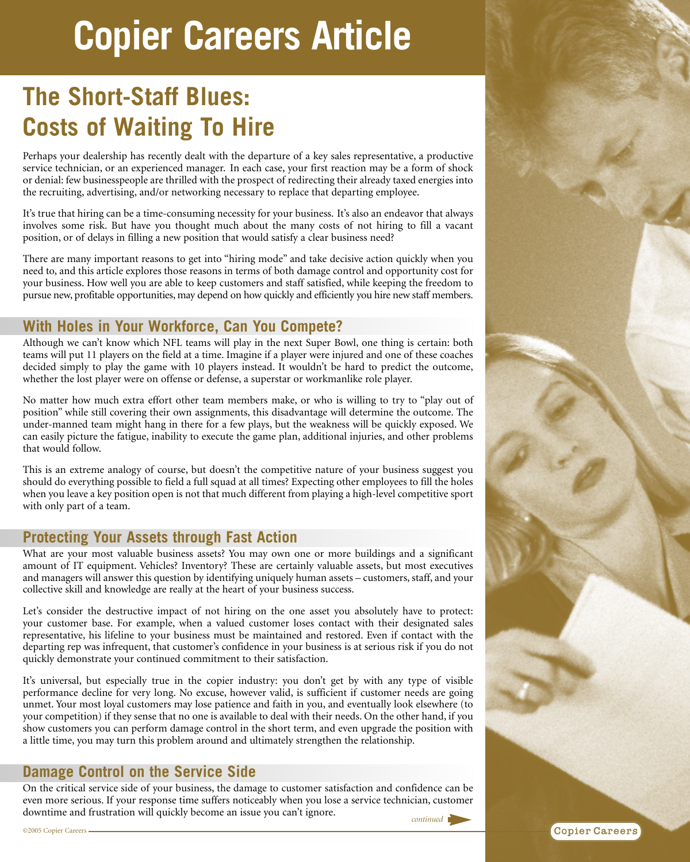# **Copier Careers Article**

# **The Short-Staff Blues: Costs of Waiting To Hire**

Perhaps your dealership has recently dealt with the departure of a key sales representative, a productive service technician, or an experienced manager. In each case, your first reaction may be a form of shock or denial: few businesspeople are thrilled with the prospect of redirecting their already taxed energies into the recruiting, advertising, and/or networking necessary to replace that departing employee.

It's true that hiring can be a time-consuming necessity for your business. It's also an endeavor that always involves some risk. But have you thought much about the many costs of not hiring to fill a vacant position, or of delays in filling a new position that would satisfy a clear business need?

There are many important reasons to get into "hiring mode" and take decisive action quickly when you need to, and this article explores those reasons in terms of both damage control and opportunity cost for your business. How well you are able to keep customers and staff satisfied, while keeping the freedom to pursue new, profitable opportunities, may depend on how quickly and efficiently you hire new staff members.

## **With Holes in Your Workforce, Can You Compete?**

Although we can't know which NFL teams will play in the next Super Bowl, one thing is certain: both teams will put 11 players on the field at a time. Imagine if a player were injured and one of these coaches decided simply to play the game with 10 players instead. It wouldn't be hard to predict the outcome, whether the lost player were on offense or defense, a superstar or workmanlike role player.

No matter how much extra effort other team members make, or who is willing to try to "play out of position" while still covering their own assignments, this disadvantage will determine the outcome. The under-manned team might hang in there for a few plays, but the weakness will be quickly exposed. We can easily picture the fatigue, inability to execute the game plan, additional injuries, and other problems that would follow.

This is an extreme analogy of course, but doesn't the competitive nature of your business suggest you should do everything possible to field a full squad at all times? Expecting other employees to fill the holes when you leave a key position open is not that much different from playing a high-level competitive sport with only part of a team.

#### **Protecting Your Assets through Fast Action**

What are your most valuable business assets? You may own one or more buildings and a significant amount of IT equipment. Vehicles? Inventory? These are certainly valuable assets, but most executives and managers will answer this question by identifying uniquely human assets – customers, staff, and your collective skill and knowledge are really at the heart of your business success.

Let's consider the destructive impact of not hiring on the one asset you absolutely have to protect: your customer base. For example, when a valued customer loses contact with their designated sales representative, his lifeline to your business must be maintained and restored. Even if contact with the departing rep was infrequent, that customer's confidence in your business is at serious risk if you do not quickly demonstrate your continued commitment to their satisfaction.

It's universal, but especially true in the copier industry: you don't get by with any type of visible performance decline for very long. No excuse, however valid, is sufficient if customer needs are going unmet. Your most loyal customers may lose patience and faith in you, and eventually look elsewhere (to your competition) if they sense that no one is available to deal with their needs. On the other hand, if you show customers you can perform damage control in the short term, and even upgrade the position with a little time, you may turn this problem around and ultimately strengthen the relationship.

#### **Damage Control on the Service Side**

On the critical service side of your business, the damage to customer satisfaction and confidence can be even more serious. If your response time suffers noticeably when you lose a service technician, customer downtime and frustration will quickly become an issue you can't ignore.



**Copier Careers**